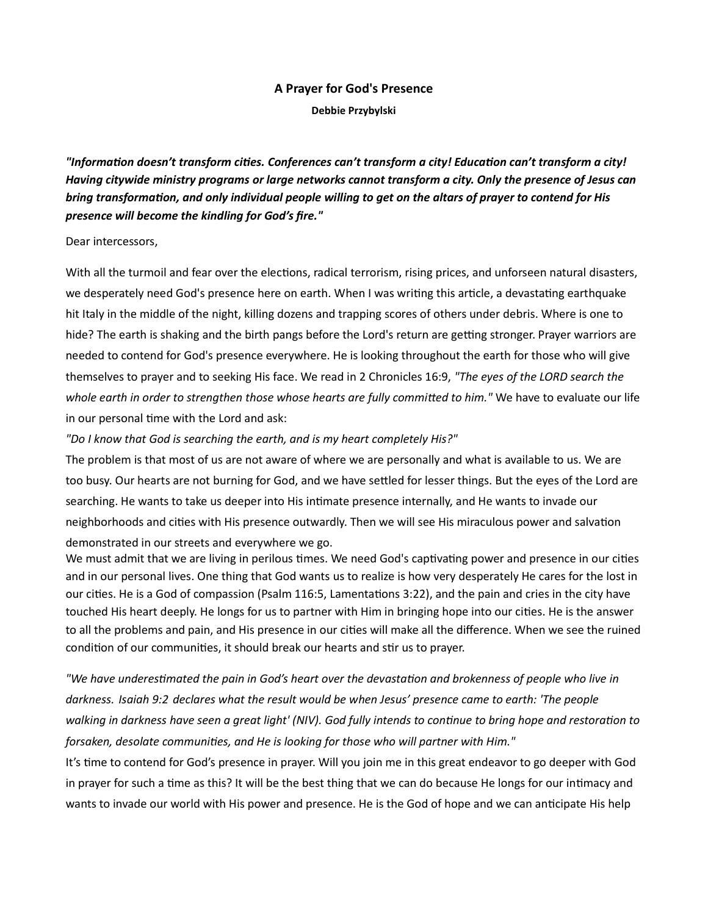## A Prayer for God's Presence

Debbie Przybylski

"Information doesn't transform cities. Conferences can't transform a city! Education can't transform a city! Having citywide ministry programs or large networks cannot transform a city. Only the presence of Jesus can bring transformation, and only individual people willing to get on the altars of prayer to contend for His presence will become the kindling for God's fire."

### Dear intercessors,

With all the turmoil and fear over the elections, radical terrorism, rising prices, and unforseen natural disasters, we desperately need God's presence here on earth. When I was writing this article, a devastating earthquake hit Italy in the middle of the night, killing dozens and trapping scores of others under debris. Where is one to hide? The earth is shaking and the birth pangs before the Lord's return are getting stronger. Prayer warriors are needed to contend for God's presence everywhere. He is looking throughout the earth for those who will give themselves to prayer and to seeking His face. We read in 2 Chronicles 16:9, "The eyes of the LORD search the whole earth in order to strengthen those whose hearts are fully committed to him." We have to evaluate our life in our personal time with the Lord and ask:

## "Do I know that God is searching the earth, and is my heart completely His?"

The problem is that most of us are not aware of where we are personally and what is available to us. We are too busy. Our hearts are not burning for God, and we have settled for lesser things. But the eyes of the Lord are searching. He wants to take us deeper into His intimate presence internally, and He wants to invade our neighborhoods and cities with His presence outwardly. Then we will see His miraculous power and salvation demonstrated in our streets and everywhere we go.

We must admit that we are living in perilous times. We need God's captivating power and presence in our cities and in our personal lives. One thing that God wants us to realize is how very desperately He cares for the lost in our cities. He is a God of compassion (Psalm 116:5, Lamentations 3:22), and the pain and cries in the city have touched His heart deeply. He longs for us to partner with Him in bringing hope into our cities. He is the answer to all the problems and pain, and His presence in our cities will make all the difference. When we see the ruined condition of our communities, it should break our hearts and stir us to prayer.

"We have underestimated the pain in God's heart over the devastation and brokenness of people who live in darkness. Isaiah 9:2 declares what the result would be when Jesus' presence came to earth: 'The people walking in darkness have seen a great light' (NIV). God fully intends to continue to bring hope and restoration to forsaken, desolate communities, and He is looking for those who will partner with Him."

It's time to contend for God's presence in prayer. Will you join me in this great endeavor to go deeper with God in prayer for such a time as this? It will be the best thing that we can do because He longs for our intimacy and wants to invade our world with His power and presence. He is the God of hope and we can anticipate His help